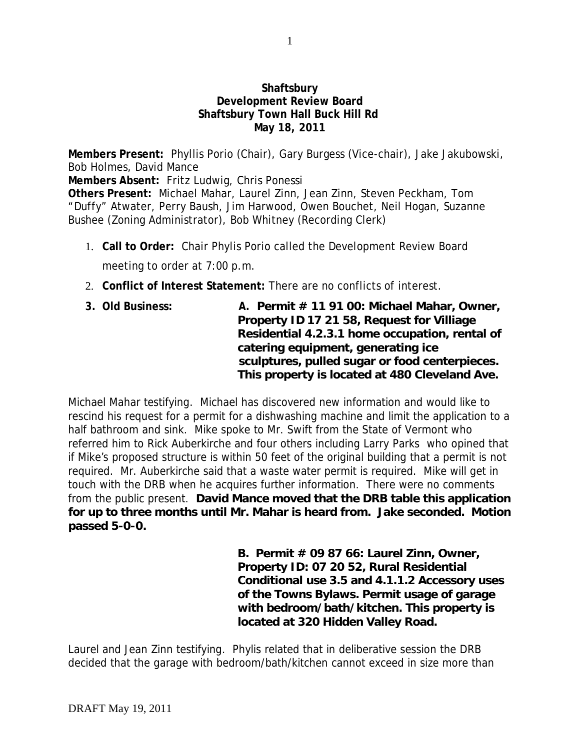#### **Shaftsbury Development Review Board Shaftsbury Town Hall Buck Hill Rd May 18, 2011**

**Members Present:** Phyllis Porio (Chair), Gary Burgess (Vice-chair), Jake Jakubowski, Bob Holmes, David Mance **Members Absent:** Fritz Ludwig, Chris Ponessi **Others Present:** Michael Mahar, Laurel Zinn, Jean Zinn, Steven Peckham, Tom "Duffy" Atwater, Perry Baush, Jim Harwood, Owen Bouchet, Neil Hogan, Suzanne Bushee (Zoning Administrator), Bob Whitney (Recording Clerk)

- 1. **Call to Order:** Chair Phylis Porio called the Development Review Board meeting to order at 7:00 p.m.
- 2. **Conflict of Interest Statement:** There are no conflicts of interest.
- **3. Old Business: A. Permit # 11 91 00: Michael Mahar, Owner, Property ID 17 21 58, Request for Villiage Residential 4.2.3.1 home occupation, rental of catering equipment, generating ice sculptures, pulled sugar or food centerpieces. This property is located at 480 Cleveland Ave.**

Michael Mahar testifying. Michael has discovered new information and would like to rescind his request for a permit for a dishwashing machine and limit the application to a half bathroom and sink. Mike spoke to Mr. Swift from the State of Vermont who referred him to Rick Auberkirche and four others including Larry Parks who opined that if Mike's proposed structure is within 50 feet of the original building that a permit is not required. Mr. Auberkirche said that a waste water permit is required. Mike will get in touch with the DRB when he acquires further information. There were no comments from the public present. **David Mance moved that the DRB table this application for up to three months until Mr. Mahar is heard from. Jake seconded. Motion passed 5-0-0.**

> **B. Permit # 09 87 66: Laurel Zinn, Owner, Property ID: 07 20 52, Rural Residential Conditional use 3.5 and 4.1.1.2 Accessory uses of the Towns Bylaws. Permit usage of garage with bedroom/bath/kitchen. This property is located at 320 Hidden Valley Road.**

Laurel and Jean Zinn testifying. Phylis related that in deliberative session the DRB decided that the garage with bedroom/bath/kitchen cannot exceed in size more than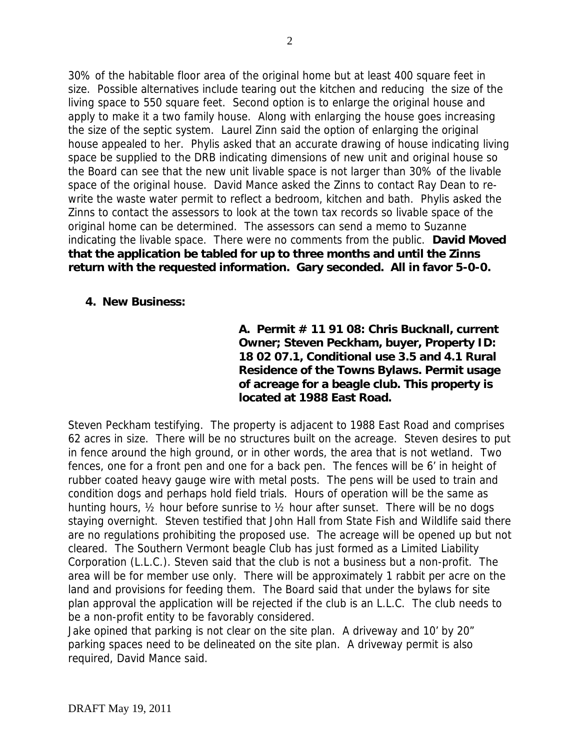30% of the habitable floor area of the original home but at least 400 square feet in size. Possible alternatives include tearing out the kitchen and reducing the size of the living space to 550 square feet. Second option is to enlarge the original house and apply to make it a two family house. Along with enlarging the house goes increasing the size of the septic system. Laurel Zinn said the option of enlarging the original house appealed to her. Phylis asked that an accurate drawing of house indicating living space be supplied to the DRB indicating dimensions of new unit and original house so the Board can see that the new unit livable space is not larger than 30% of the livable space of the original house. David Mance asked the Zinns to contact Ray Dean to rewrite the waste water permit to reflect a bedroom, kitchen and bath. Phylis asked the Zinns to contact the assessors to look at the town tax records so livable space of the original home can be determined. The assessors can send a memo to Suzanne indicating the livable space. There were no comments from the public. **David Moved that the application be tabled for up to three months and until the Zinns return with the requested information. Gary seconded. All in favor 5-0-0.**

#### **4. New Business:**

**A. Permit # 11 91 08: Chris Bucknall, current Owner; Steven Peckham, buyer, Property ID: 18 02 07.1, Conditional use 3.5 and 4.1 Rural Residence of the Towns Bylaws. Permit usage of acreage for a beagle club. This property is located at 1988 East Road.** 

Steven Peckham testifying. The property is adjacent to 1988 East Road and comprises 62 acres in size. There will be no structures built on the acreage. Steven desires to put in fence around the high ground, or in other words, the area that is not wetland. Two fences, one for a front pen and one for a back pen. The fences will be 6' in height of rubber coated heavy gauge wire with metal posts. The pens will be used to train and condition dogs and perhaps hold field trials. Hours of operation will be the same as hunting hours, ½ hour before sunrise to ½ hour after sunset. There will be no dogs staying overnight. Steven testified that John Hall from State Fish and Wildlife said there are no regulations prohibiting the proposed use. The acreage will be opened up but not cleared. The Southern Vermont beagle Club has just formed as a Limited Liability Corporation (L.L.C.). Steven said that the club is not a business but a non-profit. The area will be for member use only. There will be approximately 1 rabbit per acre on the land and provisions for feeding them. The Board said that under the bylaws for site plan approval the application will be rejected if the club is an L.L.C. The club needs to be a non-profit entity to be favorably considered.

Jake opined that parking is not clear on the site plan. A driveway and 10' by 20" parking spaces need to be delineated on the site plan. A driveway permit is also required, David Mance said.